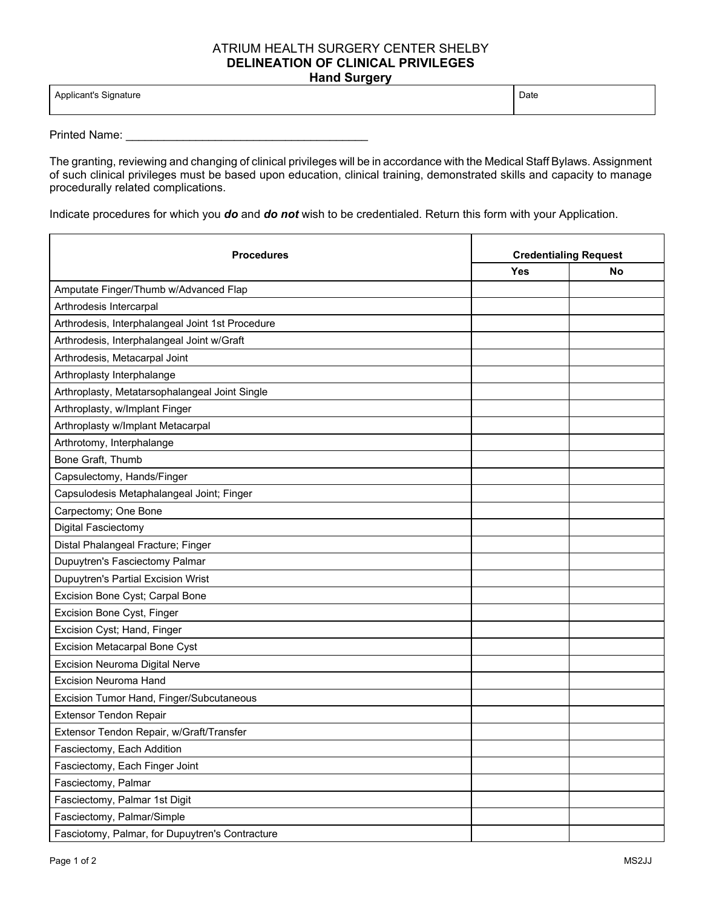## ATRIUM HEALTH SURGERY CENTER SHELBY **DELINEATION OF CLINICAL PRIVILEGES Hand Surgery**

| Annlicant's<br>Sianature<br>$\sim$ $\sim$ $\sim$<br>ັ | Date |
|-------------------------------------------------------|------|
|                                                       |      |

Printed Name: \_\_\_\_\_\_\_\_\_\_\_\_\_\_\_\_\_\_\_\_\_\_\_\_\_\_\_\_\_\_\_\_\_\_\_\_\_\_

The granting, reviewing and changing of clinical privileges will be in accordance with the Medical Staff Bylaws. Assignment of such clinical privileges must be based upon education, clinical training, demonstrated skills and capacity to manage procedurally related complications.

Indicate procedures for which you *do* and *do not* wish to be credentialed. Return this form with your Application.

| <b>Procedures</b>                                | <b>Credentialing Request</b> |    |
|--------------------------------------------------|------------------------------|----|
|                                                  | Yes                          | No |
| Amputate Finger/Thumb w/Advanced Flap            |                              |    |
| Arthrodesis Intercarpal                          |                              |    |
| Arthrodesis, Interphalangeal Joint 1st Procedure |                              |    |
| Arthrodesis, Interphalangeal Joint w/Graft       |                              |    |
| Arthrodesis, Metacarpal Joint                    |                              |    |
| Arthroplasty Interphalange                       |                              |    |
| Arthroplasty, Metatarsophalangeal Joint Single   |                              |    |
| Arthroplasty, w/Implant Finger                   |                              |    |
| Arthroplasty w/Implant Metacarpal                |                              |    |
| Arthrotomy, Interphalange                        |                              |    |
| Bone Graft, Thumb                                |                              |    |
| Capsulectomy, Hands/Finger                       |                              |    |
| Capsulodesis Metaphalangeal Joint; Finger        |                              |    |
| Carpectomy; One Bone                             |                              |    |
| Digital Fasciectomy                              |                              |    |
| Distal Phalangeal Fracture; Finger               |                              |    |
| Dupuytren's Fasciectomy Palmar                   |                              |    |
| Dupuytren's Partial Excision Wrist               |                              |    |
| Excision Bone Cyst; Carpal Bone                  |                              |    |
| Excision Bone Cyst, Finger                       |                              |    |
| Excision Cyst; Hand, Finger                      |                              |    |
| Excision Metacarpal Bone Cyst                    |                              |    |
| Excision Neuroma Digital Nerve                   |                              |    |
| <b>Excision Neuroma Hand</b>                     |                              |    |
| Excision Tumor Hand, Finger/Subcutaneous         |                              |    |
| <b>Extensor Tendon Repair</b>                    |                              |    |
| Extensor Tendon Repair, w/Graft/Transfer         |                              |    |
| Fasciectomy, Each Addition                       |                              |    |
| Fasciectomy, Each Finger Joint                   |                              |    |
| Fasciectomy, Palmar                              |                              |    |
| Fasciectomy, Palmar 1st Digit                    |                              |    |
| Fasciectomy, Palmar/Simple                       |                              |    |
| Fasciotomy, Palmar, for Dupuytren's Contracture  |                              |    |